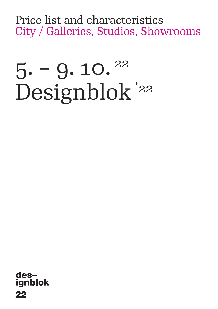Price list and characteristics City / Galleries, Studios, Showrooms

# $5. - 9. 10. <sup>22</sup>$ Designblok '22

designblok 22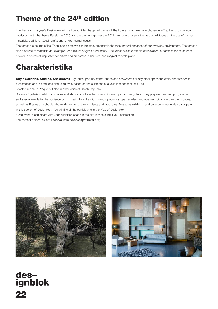## **Theme of the 24th edition**

The theme of this year's Designblok will be Forest. After the global theme of The Future, which we have chosen in 2019, the focus on local production with the theme Passion in 2020 and the theme Happiness in 2021, we have chosen a theme that will focus on the use of natural materials, traditional Czech crafts and environmental issues.

The forest is a source of life. Thanks to plants we can breathe, greenery is the most natural enhancer of our everyday environment. The forest is also a source of materials /for example, for furniture or glass production/. The forest is also a temple of relaxation, a paradise for mushroom pickers, a source of inspiration for artists and craftsmen, a haunted and magical fairytale place.

## **Charakteristika**

**City / Galleries, Studios, Showrooms** – galleries, pop-up stores, shops and showrooms or any other space the entity chooses for its presentation and is produced and used by it, based on the existence of a valid independent legal title.

Located mainly in Prague but also in other cities of Czech Republic.

Dozens of galleries, exhibition spaces and showrooms have become an inherent part of Designblok. They prepare their own programme and special events for the audience during Designblok. Fashion brands, pop-up shops, jewellers and open exhibitions in their own spaces, as well as Prague art schools who exhibit works of their students and graduates. Museums exhibiting and collecting design also participate in this section of Designblok. You will find all the participants in the Map of Designblok.

If you want to participate with your exhibition space in the city, please submit your application.

The contact person is Sára Hölclová (sara.holclova@profilmedia.cz).





# des-<br>ignblok 22